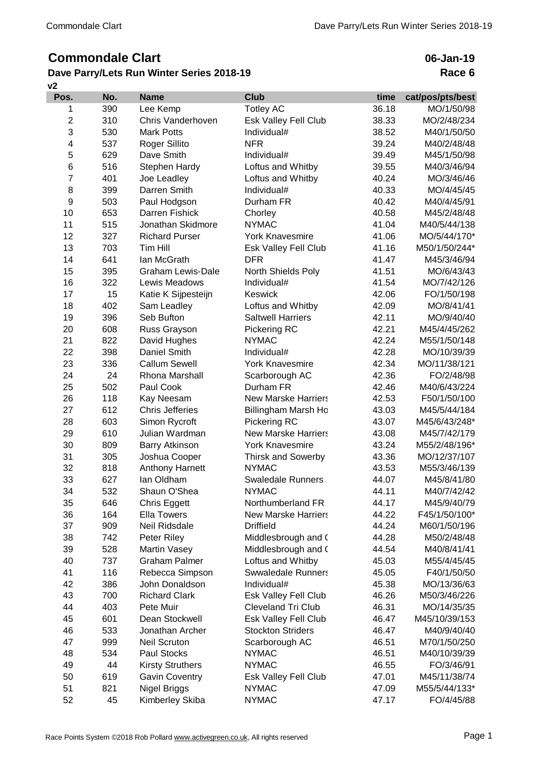## **Commondale Clart**

## **v2 Dave Parry/Lets Run Winter Series 2018-19**

## **06-Jan-19 Race 6**

| Pos.           | No. | <b>Name</b>              | <b>Club</b>                 | time  | cat/pos/pts/best |
|----------------|-----|--------------------------|-----------------------------|-------|------------------|
| 1              | 390 | Lee Kemp                 | <b>Totley AC</b>            | 36.18 | MO/1/50/98       |
| $\overline{2}$ | 310 | Chris Vanderhoven        | Esk Valley Fell Club        | 38.33 | MO/2/48/234      |
| 3              | 530 | <b>Mark Potts</b>        | Individual#                 | 38.52 | M40/1/50/50      |
| 4              | 537 | Roger Sillito            | <b>NFR</b>                  | 39.24 | M40/2/48/48      |
| 5              | 629 | Dave Smith               | Individual#                 | 39.49 | M45/1/50/98      |
| $\,6$          | 516 | Stephen Hardy            | Loftus and Whitby           | 39.55 | M40/3/46/94      |
| $\overline{7}$ | 401 | Joe Leadley              | Loftus and Whitby           | 40.24 | MO/3/46/46       |
| 8              | 399 | Darren Smith             | Individual#                 | 40.33 | MO/4/45/45       |
| 9              | 503 | Paul Hodgson             | Durham FR                   | 40.42 | M40/4/45/91      |
| 10             | 653 | <b>Darren Fishick</b>    | Chorley                     | 40.58 | M45/2/48/48      |
| 11             | 515 | Jonathan Skidmore        | <b>NYMAC</b>                | 41.04 | M40/5/44/138     |
| 12             | 327 | <b>Richard Purser</b>    | <b>York Knavesmire</b>      | 41.06 | MO/5/44/170*     |
| 13             | 703 | Tim Hill                 | Esk Valley Fell Club        | 41.16 | M50/1/50/244*    |
| 14             | 641 | lan McGrath              | <b>DFR</b>                  | 41.47 | M45/3/46/94      |
| 15             | 395 | <b>Graham Lewis-Dale</b> | North Shields Poly          | 41.51 | MO/6/43/43       |
| 16             | 322 | Lewis Meadows            | Individual#                 | 41.54 | MO/7/42/126      |
| 17             | 15  | Katie K Sijpesteijn      | Keswick                     | 42.06 | FO/1/50/198      |
| 18             | 402 | Sam Leadley              | Loftus and Whitby           | 42.09 | MO/8/41/41       |
| 19             | 396 | Seb Bufton               | <b>Saltwell Harriers</b>    | 42.11 | MO/9/40/40       |
| 20             | 608 | Russ Grayson             | Pickering RC                | 42.21 | M45/4/45/262     |
| 21             | 822 | David Hughes             | <b>NYMAC</b>                | 42.24 | M55/1/50/148     |
| 22             | 398 | Daniel Smith             | Individual#                 | 42.28 | MO/10/39/39      |
| 23             | 336 | <b>Callum Sewell</b>     | <b>York Knavesmire</b>      | 42.34 | MO/11/38/121     |
| 24             | 24  | Rhona Marshall           | Scarborough AC              | 42.36 | FO/2/48/98       |
| 25             | 502 | Paul Cook                | Durham FR                   | 42.46 | M40/6/43/224     |
| 26             | 118 | Kay Neesam               | <b>New Marske Harriers</b>  | 42.53 | F50/1/50/100     |
| 27             | 612 | <b>Chris Jefferies</b>   | Billingham Marsh Ho         | 43.03 | M45/5/44/184     |
| 28             | 603 | Simon Rycroft            | Pickering RC                | 43.07 | M45/6/43/248*    |
| 29             | 610 | Julian Wardman           | <b>New Marske Harriers</b>  | 43.08 | M45/7/42/179     |
| 30             | 809 | <b>Barry Atkinson</b>    | <b>York Knavesmire</b>      | 43.24 | M55/2/48/196*    |
| 31             | 305 | Joshua Cooper            | <b>Thirsk and Sowerby</b>   | 43.36 | MO/12/37/107     |
| 32             | 818 | Anthony Harnett          | <b>NYMAC</b>                | 43.53 | M55/3/46/139     |
| 33             | 627 | lan Oldham               | <b>Swaledale Runners</b>    | 44.07 | M45/8/41/80      |
| 34             | 532 | Shaun O'Shea             | <b>NYMAC</b>                | 44.11 | M40/7/42/42      |
| 35             | 646 | <b>Chris Eggett</b>      | Northumberland FR           | 44.17 | M45/9/40/79      |
| 36             | 164 | <b>Ella Towers</b>       | <b>New Marske Harriers</b>  | 44.22 | F45/1/50/100*    |
| 37             | 909 | Neil Ridsdale            | <b>Driffield</b>            | 44.24 | M60/1/50/196     |
| 38             | 742 | Peter Riley              | Middlesbrough and (         | 44.28 | M50/2/48/48      |
| 39             | 528 | <b>Martin Vasey</b>      | Middlesbrough and (         | 44.54 | M40/8/41/41      |
| 40             | 737 | <b>Graham Palmer</b>     | Loftus and Whitby           | 45.03 | M55/4/45/45      |
| 41             | 116 | Rebecca Simpson          | <b>Swwaledale Runners</b>   | 45.05 | F40/1/50/50      |
| 42             | 386 | John Donaldson           | Individual#                 | 45.38 | MO/13/36/63      |
| 43             | 700 | <b>Richard Clark</b>     | Esk Valley Fell Club        | 46.26 | M50/3/46/226     |
| 44             | 403 | Pete Muir                | Cleveland Tri Club          | 46.31 | MO/14/35/35      |
| 45             | 601 | Dean Stockwell           | Esk Valley Fell Club        | 46.47 | M45/10/39/153    |
| 46             | 533 | Jonathan Archer          | <b>Stockton Striders</b>    | 46.47 | M40/9/40/40      |
| 47             | 999 | <b>Neil Scruton</b>      | Scarborough AC              | 46.51 | M70/1/50/250     |
| 48             | 534 | Paul Stocks              | <b>NYMAC</b>                | 46.51 | M40/10/39/39     |
| 49             | 44  | <b>Kirsty Struthers</b>  | <b>NYMAC</b>                | 46.55 | FO/3/46/91       |
| 50             | 619 | <b>Gavin Coventry</b>    | <b>Esk Valley Fell Club</b> | 47.01 | M45/11/38/74     |
| 51             | 821 | Nigel Briggs             | <b>NYMAC</b>                | 47.09 | M55/5/44/133*    |
| 52             | 45  | Kimberley Skiba          | <b>NYMAC</b>                | 47.17 | FO/4/45/88       |
|                |     |                          |                             |       |                  |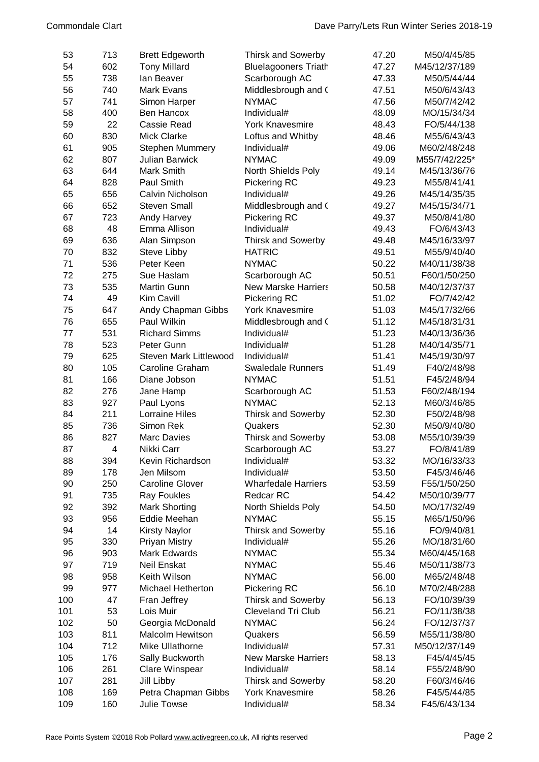| 53  | 713            | <b>Brett Edgeworth</b>        | <b>Thirsk and Sowerby</b>   | 47.20 | M50/4/45/85   |
|-----|----------------|-------------------------------|-----------------------------|-------|---------------|
| 54  | 602            | <b>Tony Millard</b>           | <b>Bluelagooners Triath</b> | 47.27 | M45/12/37/189 |
| 55  | 738            | lan Beaver                    | Scarborough AC              | 47.33 | M50/5/44/44   |
| 56  | 740            | Mark Evans                    | Middlesbrough and (         | 47.51 | M50/6/43/43   |
| 57  | 741            | Simon Harper                  | <b>NYMAC</b>                | 47.56 | M50/7/42/42   |
| 58  | 400            | Ben Hancox                    | Individual#                 | 48.09 | MO/15/34/34   |
| 59  | 22             | Cassie Read                   | <b>York Knavesmire</b>      | 48.43 | FO/5/44/138   |
| 60  | 830            | <b>Mick Clarke</b>            | Loftus and Whitby           | 48.46 | M55/6/43/43   |
| 61  | 905            | <b>Stephen Mummery</b>        | Individual#                 | 49.06 | M60/2/48/248  |
| 62  | 807            | <b>Julian Barwick</b>         | <b>NYMAC</b>                | 49.09 | M55/7/42/225* |
| 63  | 644            | Mark Smith                    | North Shields Poly          | 49.14 | M45/13/36/76  |
| 64  | 828            | Paul Smith                    | <b>Pickering RC</b>         | 49.23 | M55/8/41/41   |
| 65  | 656            | Calvin Nicholson              | Individual#                 | 49.26 | M45/14/35/35  |
| 66  | 652            | <b>Steven Small</b>           | Middlesbrough and (         | 49.27 | M45/15/34/71  |
| 67  | 723            | Andy Harvey                   | Pickering RC                | 49.37 | M50/8/41/80   |
| 68  | 48             | Emma Allison                  | Individual#                 | 49.43 | FO/6/43/43    |
| 69  | 636            | Alan Simpson                  | <b>Thirsk and Sowerby</b>   | 49.48 | M45/16/33/97  |
| 70  | 832            | Steve Libby                   | <b>HATRIC</b>               | 49.51 | M55/9/40/40   |
| 71  | 536            | Peter Keen                    | <b>NYMAC</b>                | 50.22 | M40/11/38/38  |
| 72  | 275            | Sue Haslam                    | Scarborough AC              | 50.51 | F60/1/50/250  |
| 73  | 535            | <b>Martin Gunn</b>            | <b>New Marske Harriers</b>  | 50.58 | M40/12/37/37  |
| 74  | 49             | Kim Cavill                    | Pickering RC                | 51.02 | FO/7/42/42    |
| 75  | 647            | Andy Chapman Gibbs            | <b>York Knavesmire</b>      | 51.03 | M45/17/32/66  |
| 76  | 655            | Paul Wilkin                   | Middlesbrough and (         | 51.12 | M45/18/31/31  |
| 77  | 531            | <b>Richard Simms</b>          | Individual#                 | 51.23 | M40/13/36/36  |
| 78  | 523            | Peter Gunn                    | Individual#                 | 51.28 | M40/14/35/71  |
| 79  | 625            | <b>Steven Mark Littlewood</b> | Individual#                 | 51.41 | M45/19/30/97  |
| 80  | 105            | <b>Caroline Graham</b>        | <b>Swaledale Runners</b>    | 51.49 | F40/2/48/98   |
| 81  | 166            | Diane Jobson                  | <b>NYMAC</b>                | 51.51 | F45/2/48/94   |
| 82  | 276            | Jane Hamp                     | Scarborough AC              | 51.53 | F60/2/48/194  |
| 83  | 927            | Paul Lyons                    | <b>NYMAC</b>                | 52.13 | M60/3/46/85   |
| 84  | 211            | <b>Lorraine Hiles</b>         | Thirsk and Sowerby          | 52.30 | F50/2/48/98   |
| 85  | 736            | Simon Rek                     | Quakers                     | 52.30 | M50/9/40/80   |
| 86  | 827            | <b>Marc Davies</b>            | <b>Thirsk and Sowerby</b>   | 53.08 | M55/10/39/39  |
| 87  | $\overline{4}$ | Nikki Carr                    | Scarborough AC              | 53.27 | FO/8/41/89    |
| 88  | 394            | Kevin Richardson              | Individual#                 | 53.32 | MO/16/33/33   |
| 89  | 178            | Jen Milsom                    | Individual#                 | 53.50 | F45/3/46/46   |
| 90  | 250            | <b>Caroline Glover</b>        | <b>Wharfedale Harriers</b>  | 53.59 | F55/1/50/250  |
| 91  | 735            | <b>Ray Foukles</b>            | Redcar RC                   | 54.42 | M50/10/39/77  |
| 92  | 392            | <b>Mark Shorting</b>          | North Shields Poly          | 54.50 | MO/17/32/49   |
| 93  | 956            | Eddie Meehan                  | <b>NYMAC</b>                | 55.15 | M65/1/50/96   |
| 94  | 14             | <b>Kirsty Naylor</b>          | <b>Thirsk and Sowerby</b>   | 55.16 | FO/9/40/81    |
| 95  | 330            | Priyan Mistry                 | Individual#                 | 55.26 | MO/18/31/60   |
| 96  | 903            | Mark Edwards                  | <b>NYMAC</b>                | 55.34 | M60/4/45/168  |
| 97  | 719            | Neil Enskat                   | <b>NYMAC</b>                | 55.46 | M50/11/38/73  |
| 98  | 958            | Keith Wilson                  | <b>NYMAC</b>                | 56.00 | M65/2/48/48   |
| 99  | 977            | Michael Hetherton             | <b>Pickering RC</b>         | 56.10 | M70/2/48/288  |
| 100 | 47             | Fran Jeffrey                  | <b>Thirsk and Sowerby</b>   | 56.13 | FO/10/39/39   |
| 101 | 53             | Lois Muir                     | <b>Cleveland Tri Club</b>   | 56.21 | FO/11/38/38   |
| 102 | 50             | Georgia McDonald              | <b>NYMAC</b>                | 56.24 | FO/12/37/37   |
| 103 | 811            | <b>Malcolm Hewitson</b>       | Quakers                     | 56.59 | M55/11/38/80  |
| 104 | 712            | Mike Ullathorne               | Individual#                 | 57.31 | M50/12/37/149 |
| 105 | 176            | Sally Buckworth               | <b>New Marske Harriers</b>  | 58.13 | F45/4/45/45   |
| 106 | 261            | Clare Winspear                | Individual#                 | 58.14 | F55/2/48/90   |
| 107 | 281            | Jill Libby                    | <b>Thirsk and Sowerby</b>   | 58.20 | F60/3/46/46   |
| 108 | 169            | Petra Chapman Gibbs           | <b>York Knavesmire</b>      | 58.26 | F45/5/44/85   |
| 109 | 160            | Julie Towse                   | Individual#                 | 58.34 | F45/6/43/134  |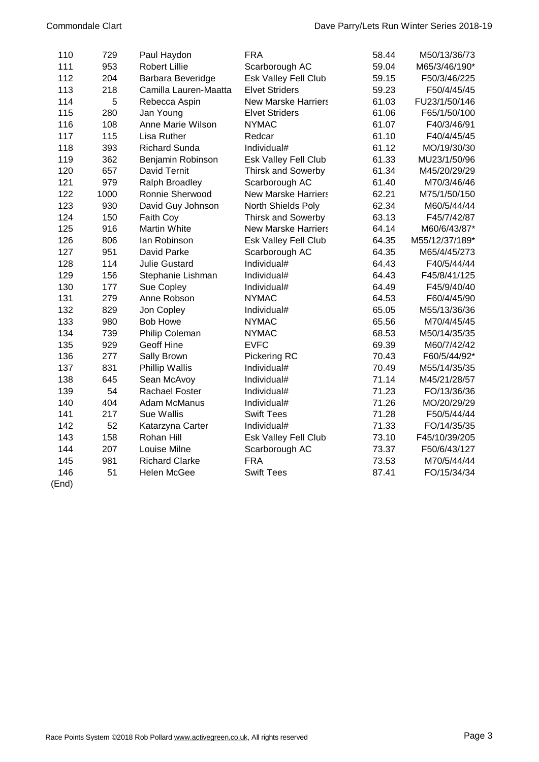| 110   | 729  | Paul Haydon           | <b>FRA</b>                 | 58.44 | M50/13/36/73   |
|-------|------|-----------------------|----------------------------|-------|----------------|
| 111   | 953  | <b>Robert Lillie</b>  | Scarborough AC             | 59.04 | M65/3/46/190*  |
| 112   | 204  | Barbara Beveridge     | Esk Valley Fell Club       | 59.15 | F50/3/46/225   |
| 113   | 218  | Camilla Lauren-Maatta | <b>Elvet Striders</b>      | 59.23 | F50/4/45/45    |
| 114   | 5    | Rebecca Aspin         | <b>New Marske Harriers</b> | 61.03 | FU23/1/50/146  |
| 115   | 280  | Jan Young             | <b>Elvet Striders</b>      | 61.06 | F65/1/50/100   |
| 116   | 108  | Anne Marie Wilson     | <b>NYMAC</b>               | 61.07 | F40/3/46/91    |
| 117   | 115  | Lisa Ruther           | Redcar                     | 61.10 | F40/4/45/45    |
| 118   | 393  | <b>Richard Sunda</b>  | Individual#                | 61.12 | MO/19/30/30    |
| 119   | 362  | Benjamin Robinson     | Esk Valley Fell Club       | 61.33 | MU23/1/50/96   |
| 120   | 657  | David Ternit          | <b>Thirsk and Sowerby</b>  | 61.34 | M45/20/29/29   |
| 121   | 979  | Ralph Broadley        | Scarborough AC             | 61.40 | M70/3/46/46    |
| 122   | 1000 | Ronnie Sherwood       | <b>New Marske Harriers</b> | 62.21 | M75/1/50/150   |
| 123   | 930  | David Guy Johnson     | North Shields Poly         | 62.34 | M60/5/44/44    |
| 124   | 150  | Faith Coy             | <b>Thirsk and Sowerby</b>  | 63.13 | F45/7/42/87    |
| 125   | 916  | Martin White          | <b>New Marske Harriers</b> | 64.14 | M60/6/43/87*   |
| 126   | 806  | lan Robinson          | Esk Valley Fell Club       | 64.35 | M55/12/37/189* |
| 127   | 951  | David Parke           | Scarborough AC             | 64.35 | M65/4/45/273   |
| 128   | 114  | <b>Julie Gustard</b>  | Individual#                | 64.43 | F40/5/44/44    |
| 129   | 156  | Stephanie Lishman     | Individual#                | 64.43 | F45/8/41/125   |
| 130   | 177  | Sue Copley            | Individual#                | 64.49 | F45/9/40/40    |
| 131   | 279  | Anne Robson           | <b>NYMAC</b>               | 64.53 | F60/4/45/90    |
| 132   | 829  | Jon Copley            | Individual#                | 65.05 | M55/13/36/36   |
| 133   | 980  | <b>Bob Howe</b>       | <b>NYMAC</b>               | 65.56 | M70/4/45/45    |
| 134   | 739  | Philip Coleman        | <b>NYMAC</b>               | 68.53 | M50/14/35/35   |
| 135   | 929  | Geoff Hine            | <b>EVFC</b>                | 69.39 | M60/7/42/42    |
| 136   | 277  | Sally Brown           | Pickering RC               | 70.43 | F60/5/44/92*   |
| 137   | 831  | Phillip Wallis        | Individual#                | 70.49 | M55/14/35/35   |
| 138   | 645  | Sean McAvoy           | Individual#                | 71.14 | M45/21/28/57   |
| 139   | 54   | Rachael Foster        | Individual#                | 71.23 | FO/13/36/36    |
| 140   | 404  | Adam McManus          | Individual#                | 71.26 | MO/20/29/29    |
| 141   | 217  | Sue Wallis            | <b>Swift Tees</b>          | 71.28 | F50/5/44/44    |
| 142   | 52   | Katarzyna Carter      | Individual#                | 71.33 | FO/14/35/35    |
| 143   | 158  | Rohan Hill            | Esk Valley Fell Club       | 73.10 | F45/10/39/205  |
| 144   | 207  | Louise Milne          | Scarborough AC             | 73.37 | F50/6/43/127   |
| 145   | 981  | <b>Richard Clarke</b> | <b>FRA</b>                 | 73.53 | M70/5/44/44    |
| 146   | 51   | <b>Helen McGee</b>    | <b>Swift Tees</b>          | 87.41 | FO/15/34/34    |
| (End) |      |                       |                            |       |                |